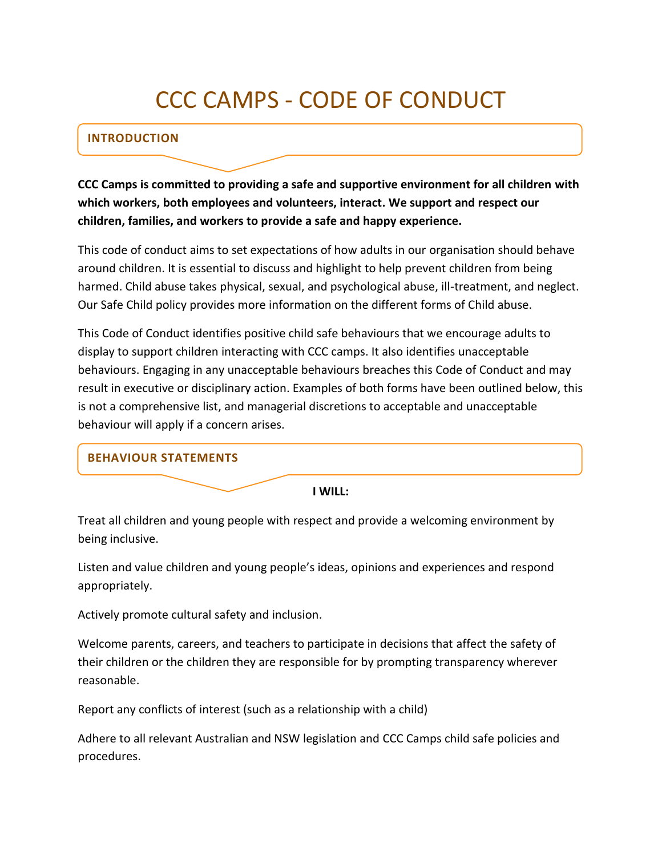# CCC CAMPS - CODE OF CONDUCT

## **INTRODUCTION**

**CCC Camps is committed to providing a safe and supportive environment for all children with which workers, both employees and volunteers, interact. We support and respect our children, families, and workers to provide a safe and happy experience.**

This code of conduct aims to set expectations of how adults in our organisation should behave around children. It is essential to discuss and highlight to help prevent children from being harmed. Child abuse takes physical, sexual, and psychological abuse, ill-treatment, and neglect. Our Safe Child policy provides more information on the different forms of Child abuse.

This Code of Conduct identifies positive child safe behaviours that we encourage adults to display to support children interacting with CCC camps. It also identifies unacceptable behaviours. Engaging in any unacceptable behaviours breaches this Code of Conduct and may result in executive or disciplinary action. Examples of both forms have been outlined below, this is not a comprehensive list, and managerial discretions to acceptable and unacceptable behaviour will apply if a concern arises.

## **BEHAVIOUR STATEMENTS**

#### **I WILL:**

Treat all children and young people with respect and provide a welcoming environment by being inclusive.

Listen and value children and young people's ideas, opinions and experiences and respond appropriately.

Actively promote cultural safety and inclusion.

Welcome parents, careers, and teachers to participate in decisions that affect the safety of their children or the children they are responsible for by prompting transparency wherever reasonable.

Report any conflicts of interest (such as a relationship with a child)

Adhere to all relevant Australian and NSW legislation and CCC Camps child safe policies and procedures.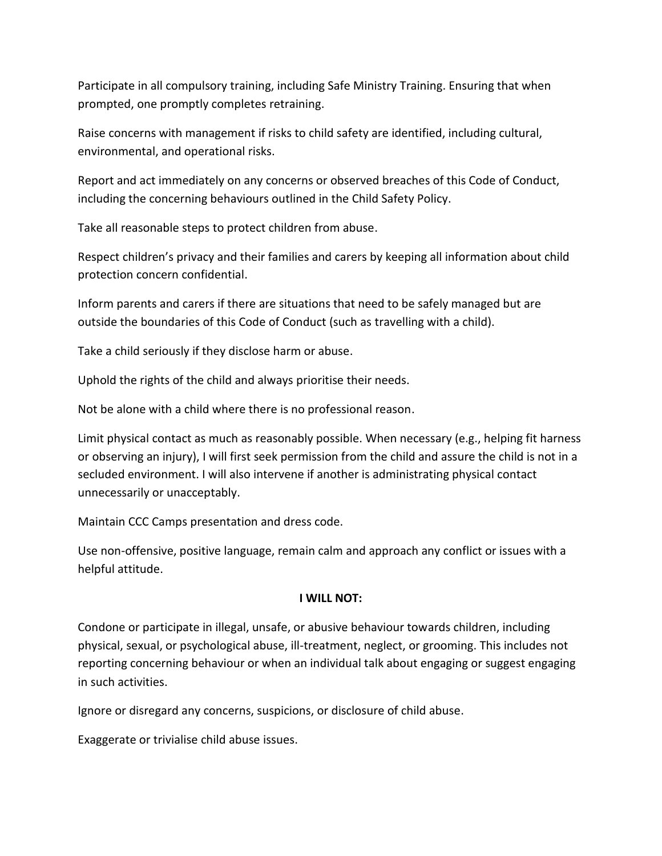Participate in all compulsory training, including Safe Ministry Training. Ensuring that when prompted, one promptly completes retraining.

Raise concerns with management if risks to child safety are identified, including cultural, environmental, and operational risks.

Report and act immediately on any concerns or observed breaches of this Code of Conduct, including the concerning behaviours outlined in the Child Safety Policy.

Take all reasonable steps to protect children from abuse.

Respect children's privacy and their families and carers by keeping all information about child protection concern confidential.

Inform parents and carers if there are situations that need to be safely managed but are outside the boundaries of this Code of Conduct (such as travelling with a child).

Take a child seriously if they disclose harm or abuse.

Uphold the rights of the child and always prioritise their needs.

Not be alone with a child where there is no professional reason.

Limit physical contact as much as reasonably possible. When necessary (e.g., helping fit harness or observing an injury), I will first seek permission from the child and assure the child is not in a secluded environment. I will also intervene if another is administrating physical contact unnecessarily or unacceptably.

Maintain CCC Camps presentation and dress code.

Use non-offensive, positive language, remain calm and approach any conflict or issues with a helpful attitude.

### **I WILL NOT:**

Condone or participate in illegal, unsafe, or abusive behaviour towards children, including physical, sexual, or psychological abuse, ill-treatment, neglect, or grooming. This includes not reporting concerning behaviour or when an individual talk about engaging or suggest engaging in such activities.

Ignore or disregard any concerns, suspicions, or disclosure of child abuse.

Exaggerate or trivialise child abuse issues.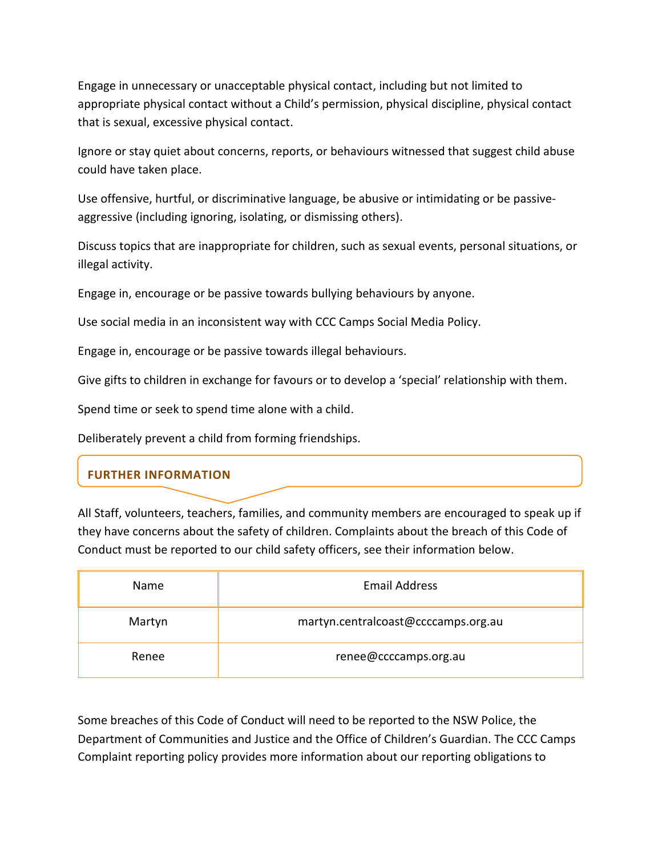Engage in unnecessary or unacceptable physical contact, including but not limited to appropriate physical contact without a Child's permission, physical discipline, physical contact that is sexual, excessive physical contact.

Ignore or stay quiet about concerns, reports, or behaviours witnessed that suggest child abuse could have taken place.

Use offensive, hurtful, or discriminative language, be abusive or intimidating or be passiveaggressive (including ignoring, isolating, or dismissing others).

Discuss topics that are inappropriate for children, such as sexual events, personal situations, or illegal activity.

Engage in, encourage or be passive towards bullying behaviours by anyone.

Use social media in an inconsistent way with CCC Camps Social Media Policy.

Engage in, encourage or be passive towards illegal behaviours.

Give gifts to children in exchange for favours or to develop a 'special' relationship with them.

Spend time or seek to spend time alone with a child.

Deliberately prevent a child from forming friendships.

## **FURTHER INFORMATION**

All Staff, volunteers, teachers, families, and community members are encouraged to speak up if they have concerns about the safety of children. Complaints about the breach of this Code of Conduct must be reported to our child safety officers, see their information below.

| Name   | <b>Email Address</b>                |
|--------|-------------------------------------|
| Martyn | martyn.centralcoast@ccccamps.org.au |
| Renee  | renee@ccccamps.org.au               |

Some breaches of this Code of Conduct will need to be reported to the NSW Police, the Department of Communities and Justice and the Office of Children's Guardian. The CCC Camps Complaint reporting policy provides more information about our reporting obligations to